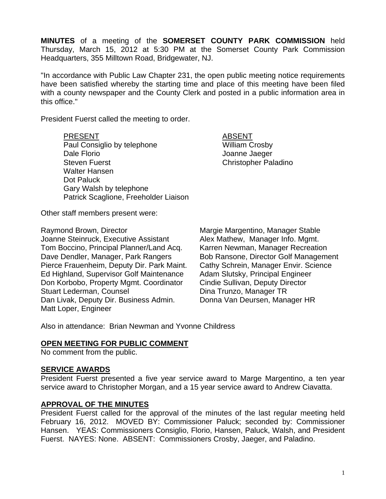**MINUTES** of a meeting of the **SOMERSET COUNTY PARK COMMISSION** held Thursday, March 15, 2012 at 5:30 PM at the Somerset County Park Commission Headquarters, 355 Milltown Road, Bridgewater, NJ.

"In accordance with Public Law Chapter 231, the open public meeting notice requirements have been satisfied whereby the starting time and place of this meeting have been filed with a county newspaper and the County Clerk and posted in a public information area in this office."

President Fuerst called the meeting to order.

PRESENT ABSENT Paul Consiglio by telephone William Crosby Dale Florio Joanne Jaeger Steven Fuerst **Christopher Paladino**  Walter Hansen Dot Paluck Gary Walsh by telephone Patrick Scaglione, Freeholder Liaison

Other staff members present were:

Raymond Brown, Director **Margie Margie Margentino, Manager Stable** Joanne Steinruck, Executive Assistant Alex Mathew, Manager Info. Mgmt. Tom Boccino, Principal Planner/Land Acq. Karren Newman, Manager Recreation Dave Dendler, Manager, Park Rangers Bob Ransone, Director Golf Management Pierce Frauenheim, Deputy Dir. Park Maint. Cathy Schrein, Manager Envir. Science Ed Highland, Supervisor Golf Maintenance Adam Slutsky, Principal Engineer<br>Don Korbobo, Property Mgmt. Coordinator Cindie Sullivan, Deputy Director Don Korbobo, Property Mgmt. Coordinator Stuart Lederman, Counsel **Dina Trunzo, Manager TR**<br>Dan Livak, Deputy Dir. Business Admin. Donna Van Deursen, Manager HR Dan Livak, Deputy Dir. Business Admin. Matt Loper, Engineer

Also in attendance: Brian Newman and Yvonne Childress

### **OPEN MEETING FOR PUBLIC COMMENT**

No comment from the public.

#### **SERVICE AWARDS**

President Fuerst presented a five year service award to Marge Margentino, a ten year service award to Christopher Morgan, and a 15 year service award to Andrew Ciavatta.

### **APPROVAL OF THE MINUTES**

President Fuerst called for the approval of the minutes of the last regular meeting held February 16, 2012. MOVED BY: Commissioner Paluck; seconded by: Commissioner Hansen. YEAS: Commissioners Consiglio, Florio, Hansen, Paluck, Walsh, and President Fuerst. NAYES: None. ABSENT: Commissioners Crosby, Jaeger, and Paladino.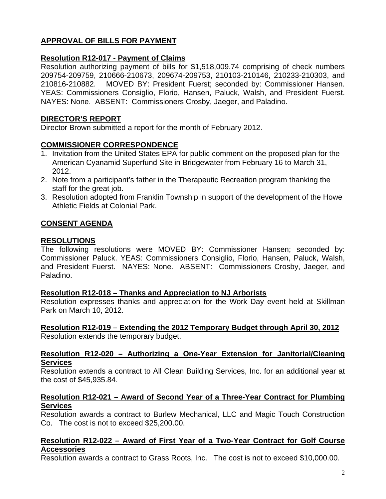# **APPROVAL OF BILLS FOR PAYMENT**

## **Resolution R12-017 - Payment of Claims**

Resolution authorizing payment of bills for \$1,518,009.74 comprising of check numbers 209754-209759, 210666-210673, 209674-209753, 210103-210146, 210233-210303, and 210816-210882. MOVED BY: President Fuerst; seconded by: Commissioner Hansen. YEAS: Commissioners Consiglio, Florio, Hansen, Paluck, Walsh, and President Fuerst. NAYES: None. ABSENT: Commissioners Crosby, Jaeger, and Paladino.

### **DIRECTOR'S REPORT**

Director Brown submitted a report for the month of February 2012.

## **COMMISSIONER CORRESPONDENCE**

- 1. Invitation from the United States EPA for public comment on the proposed plan for the American Cyanamid Superfund Site in Bridgewater from February 16 to March 31, 2012.
- 2. Note from a participant's father in the Therapeutic Recreation program thanking the staff for the great job.
- 3. Resolution adopted from Franklin Township in support of the development of the Howe Athletic Fields at Colonial Park.

# **CONSENT AGENDA**

### **RESOLUTIONS**

The following resolutions were MOVED BY: Commissioner Hansen; seconded by: Commissioner Paluck. YEAS: Commissioners Consiglio, Florio, Hansen, Paluck, Walsh, and President Fuerst. NAYES: None. ABSENT: Commissioners Crosby, Jaeger, and Paladino.

### **Resolution R12-018 – Thanks and Appreciation to NJ Arborists**

Resolution expresses thanks and appreciation for the Work Day event held at Skillman Park on March 10, 2012.

**Resolution R12-019 – Extending the 2012 Temporary Budget through April 30, 2012**  Resolution extends the temporary budget.

#### **Resolution R12-020 – Authorizing a One-Year Extension for Janitorial/Cleaning Services**

Resolution extends a contract to All Clean Building Services, Inc. for an additional year at the cost of \$45,935.84.

### **Resolution R12-021 – Award of Second Year of a Three-Year Contract for Plumbing Services**

Resolution awards a contract to Burlew Mechanical, LLC and Magic Touch Construction Co. The cost is not to exceed \$25,200.00.

#### **Resolution R12-022 – Award of First Year of a Two-Year Contract for Golf Course Accessories**

Resolution awards a contract to Grass Roots, Inc. The cost is not to exceed \$10,000.00.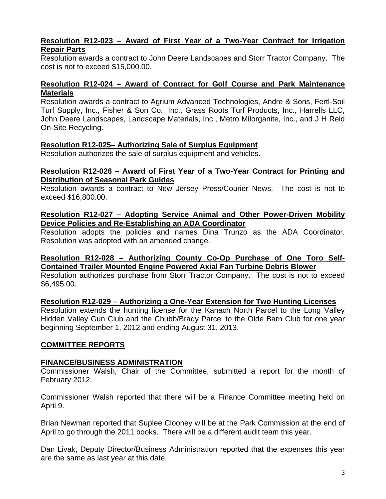## **Resolution R12-023 – Award of First Year of a Two-Year Contract for Irrigation Repair Parts**

Resolution awards a contract to John Deere Landscapes and Storr Tractor Company. The cost is not to exceed \$15,000.00.

### **Resolution R12-024 – Award of Contract for Golf Course and Park Maintenance Materials**

Resolution awards a contract to Agrium Advanced Technologies, Andre & Sons, Fertl-Soil Turf Supply, Inc., Fisher & Son Co., Inc., Grass Roots Turf Products, Inc., Harrells LLC, John Deere Landscapes, Landscape Materials, Inc., Metro Milorganite, Inc., and J H Reid On-Site Recycling.

### **Resolution R12-025– Authorizing Sale of Surplus Equipment**

Resolution authorizes the sale of surplus equipment and vehicles.

#### **Resolution R12-026 – Award of First Year of a Two-Year Contract for Printing and Distribution of Seasonal Park Guides**

Resolution awards a contract to New Jersey Press/Courier News. The cost is not to exceed \$16,800.00.

### **Resolution R12-027 – Adopting Service Animal and Other Power-Driven Mobility Device Policies and Re-Establishing an ADA Coordinator**

Resolution adopts the policies and names Dina Trunzo as the ADA Coordinator. Resolution was adopted with an amended change.

## **Resolution R12-028 – Authorizing County Co-Op Purchase of One Toro Self-Contained Trailer Mounted Engine Powered Axial Fan Turbine Debris Blower**

Resolution authorizes purchase from Storr Tractor Company. The cost is not to exceed \$6,495.00.

**Resolution R12-029 – Authorizing a One-Year Extension for Two Hunting Licenses** 

Resolution extends the hunting license for the Kanach North Parcel to the Long Valley Hidden Valley Gun Club and the Chubb/Brady Parcel to the Olde Barn Club for one year beginning September 1, 2012 and ending August 31, 2013.

### **COMMITTEE REPORTS**

### **FINANCE/BUSINESS ADMINISTRATION**

Commissioner Walsh, Chair of the Committee, submitted a report for the month of February 2012.

Commissioner Walsh reported that there will be a Finance Committee meeting held on April 9.

Brian Newman reported that Suplee Clooney will be at the Park Commission at the end of April to go through the 2011 books. There will be a different audit team this year.

Dan Livak, Deputy Director/Business Administration reported that the expenses this year are the same as last year at this date.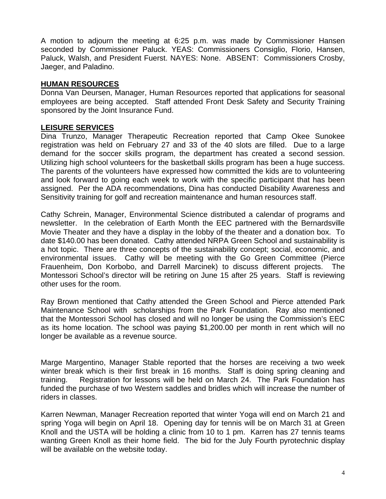A motion to adjourn the meeting at 6:25 p.m. was made by Commissioner Hansen seconded by Commissioner Paluck. YEAS: Commissioners Consiglio, Florio, Hansen, Paluck, Walsh, and President Fuerst. NAYES: None. ABSENT: Commissioners Crosby, Jaeger, and Paladino.

### **HUMAN RESOURCES**

Donna Van Deursen, Manager, Human Resources reported that applications for seasonal employees are being accepted. Staff attended Front Desk Safety and Security Training sponsored by the Joint Insurance Fund.

## **LEISURE SERVICES**

Dina Trunzo, Manager Therapeutic Recreation reported that Camp Okee Sunokee registration was held on February 27 and 33 of the 40 slots are filled. Due to a large demand for the soccer skills program, the department has created a second session. Utilizing high school volunteers for the basketball skills program has been a huge success. The parents of the volunteers have expressed how committed the kids are to volunteering and look forward to going each week to work with the specific participant that has been assigned. Per the ADA recommendations, Dina has conducted Disability Awareness and Sensitivity training for golf and recreation maintenance and human resources staff.

Cathy Schrein, Manager, Environmental Science distributed a calendar of programs and newsletter. In the celebration of Earth Month the EEC partnered with the Bernardsville Movie Theater and they have a display in the lobby of the theater and a donation box. To date \$140.00 has been donated. Cathy attended NRPA Green School and sustainability is a hot topic. There are three concepts of the sustainability concept; social, economic, and environmental issues. Cathy will be meeting with the Go Green Committee (Pierce Frauenheim, Don Korbobo, and Darrell Marcinek) to discuss different projects. The Montessori School's director will be retiring on June 15 after 25 years. Staff is reviewing other uses for the room.

Ray Brown mentioned that Cathy attended the Green School and Pierce attended Park Maintenance School with scholarships from the Park Foundation. Ray also mentioned that the Montessori School has closed and will no longer be using the Commission's EEC as its home location. The school was paying \$1,200.00 per month in rent which will no longer be available as a revenue source.

Marge Margentino, Manager Stable reported that the horses are receiving a two week winter break which is their first break in 16 months. Staff is doing spring cleaning and training. Registration for lessons will be held on March 24. The Park Foundation has funded the purchase of two Western saddles and bridles which will increase the number of riders in classes.

Karren Newman, Manager Recreation reported that winter Yoga will end on March 21 and spring Yoga will begin on April 18. Opening day for tennis will be on March 31 at Green Knoll and the USTA will be holding a clinic from 10 to 1 pm. Karren has 27 tennis teams wanting Green Knoll as their home field. The bid for the July Fourth pyrotechnic display will be available on the website today.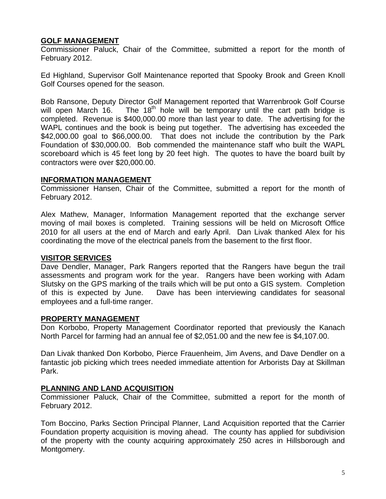### **GOLF MANAGEMENT**

Commissioner Paluck, Chair of the Committee, submitted a report for the month of February 2012.

Ed Highland, Supervisor Golf Maintenance reported that Spooky Brook and Green Knoll Golf Courses opened for the season.

Bob Ransone, Deputy Director Golf Management reported that Warrenbrook Golf Course will open March  $16.$  The  $18<sup>th</sup>$  hole will be temporary until the cart path bridge is completed. Revenue is \$400,000.00 more than last year to date. The advertising for the WAPL continues and the book is being put together. The advertising has exceeded the \$42,000.00 goal to \$66,000.00. That does not include the contribution by the Park Foundation of \$30,000.00. Bob commended the maintenance staff who built the WAPL scoreboard which is 45 feet long by 20 feet high. The quotes to have the board built by contractors were over \$20,000.00.

### **INFORMATION MANAGEMENT**

Commissioner Hansen, Chair of the Committee, submitted a report for the month of February 2012.

Alex Mathew, Manager, Information Management reported that the exchange server moving of mail boxes is completed. Training sessions will be held on Microsoft Office 2010 for all users at the end of March and early April. Dan Livak thanked Alex for his coordinating the move of the electrical panels from the basement to the first floor.

# **VISITOR SERVICES**

Dave Dendler, Manager, Park Rangers reported that the Rangers have begun the trail assessments and program work for the year. Rangers have been working with Adam Slutsky on the GPS marking of the trails which will be put onto a GIS system. Completion of this is expected by June. Dave has been interviewing candidates for seasonal employees and a full-time ranger.

# **PROPERTY MANAGEMENT**

Don Korbobo, Property Management Coordinator reported that previously the Kanach North Parcel for farming had an annual fee of \$2,051.00 and the new fee is \$4,107.00.

Dan Livak thanked Don Korbobo, Pierce Frauenheim, Jim Avens, and Dave Dendler on a fantastic job picking which trees needed immediate attention for Arborists Day at Skillman Park.

# **PLANNING AND LAND ACQUISITION**

Commissioner Paluck, Chair of the Committee, submitted a report for the month of February 2012.

Tom Boccino, Parks Section Principal Planner, Land Acquisition reported that the Carrier Foundation property acquisition is moving ahead. The county has applied for subdivision of the property with the county acquiring approximately 250 acres in Hillsborough and Montgomery.